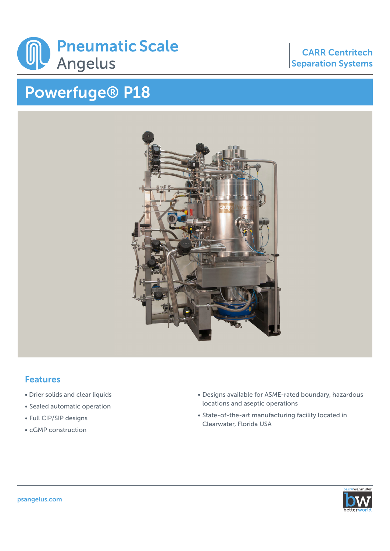

## Powerfuge® P18

## CARR Centritech Separation Systems



## Features

- Drier solids and clear liquids
- Sealed automatic operation
- Full CIP/SIP designs
- cGMP construction
- Designs available for ASME-rated boundary, hazardous locations and aseptic operations
- State-of-the-art manufacturing facility located in Clearwater, Florida USA